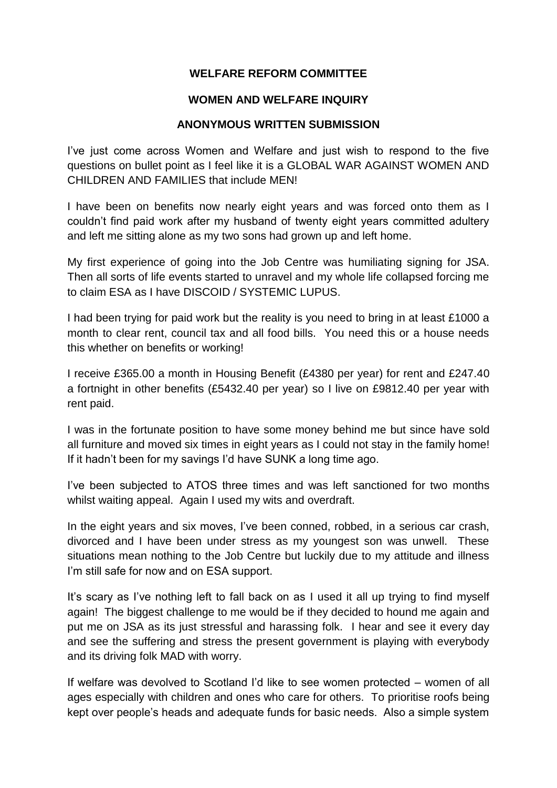## **WELFARE REFORM COMMITTEE**

## **WOMEN AND WELFARE INQUIRY**

## **ANONYMOUS WRITTEN SUBMISSION**

I've just come across Women and Welfare and just wish to respond to the five questions on bullet point as I feel like it is a GLOBAL WAR AGAINST WOMEN AND CHILDREN AND FAMILIES that include MEN!

I have been on benefits now nearly eight years and was forced onto them as I couldn't find paid work after my husband of twenty eight years committed adultery and left me sitting alone as my two sons had grown up and left home.

My first experience of going into the Job Centre was humiliating signing for JSA. Then all sorts of life events started to unravel and my whole life collapsed forcing me to claim ESA as I have DISCOID / SYSTEMIC LUPUS.

I had been trying for paid work but the reality is you need to bring in at least £1000 a month to clear rent, council tax and all food bills. You need this or a house needs this whether on benefits or working!

I receive £365.00 a month in Housing Benefit (£4380 per year) for rent and £247.40 a fortnight in other benefits (£5432.40 per year) so I live on £9812.40 per year with rent paid.

I was in the fortunate position to have some money behind me but since have sold all furniture and moved six times in eight years as I could not stay in the family home! If it hadn't been for my savings I'd have SUNK a long time ago.

I've been subjected to ATOS three times and was left sanctioned for two months whilst waiting appeal. Again I used my wits and overdraft.

In the eight years and six moves, I've been conned, robbed, in a serious car crash, divorced and I have been under stress as my youngest son was unwell. These situations mean nothing to the Job Centre but luckily due to my attitude and illness I'm still safe for now and on ESA support.

It's scary as I've nothing left to fall back on as I used it all up trying to find myself again! The biggest challenge to me would be if they decided to hound me again and put me on JSA as its just stressful and harassing folk. I hear and see it every day and see the suffering and stress the present government is playing with everybody and its driving folk MAD with worry.

If welfare was devolved to Scotland I'd like to see women protected – women of all ages especially with children and ones who care for others. To prioritise roofs being kept over people's heads and adequate funds for basic needs. Also a simple system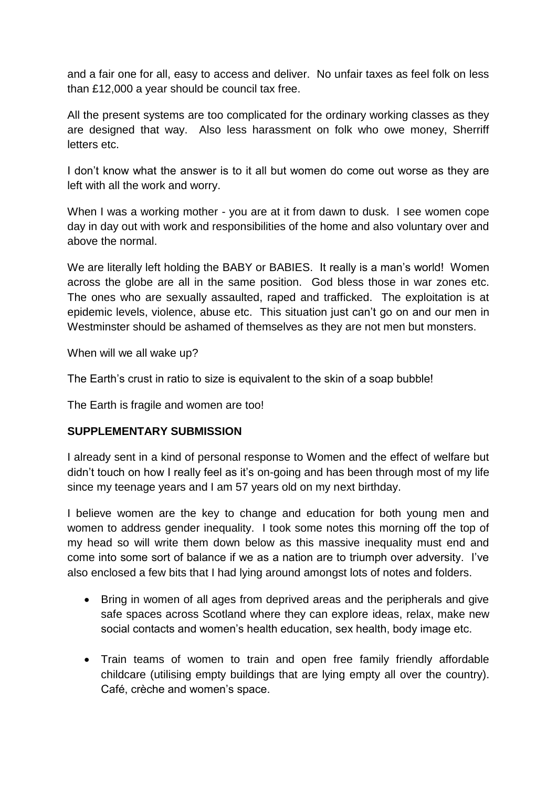and a fair one for all, easy to access and deliver. No unfair taxes as feel folk on less than £12,000 a year should be council tax free.

All the present systems are too complicated for the ordinary working classes as they are designed that way. Also less harassment on folk who owe money, Sherriff letters etc.

I don't know what the answer is to it all but women do come out worse as they are left with all the work and worry.

When I was a working mother - you are at it from dawn to dusk. I see women cope day in day out with work and responsibilities of the home and also voluntary over and above the normal.

We are literally left holding the BABY or BABIES. It really is a man's world! Women across the globe are all in the same position. God bless those in war zones etc. The ones who are sexually assaulted, raped and trafficked. The exploitation is at epidemic levels, violence, abuse etc. This situation just can't go on and our men in Westminster should be ashamed of themselves as they are not men but monsters.

When will we all wake up?

The Earth's crust in ratio to size is equivalent to the skin of a soap bubble!

The Earth is fragile and women are too!

## **SUPPLEMENTARY SUBMISSION**

I already sent in a kind of personal response to Women and the effect of welfare but didn't touch on how I really feel as it's on-going and has been through most of my life since my teenage years and I am 57 years old on my next birthday.

I believe women are the key to change and education for both young men and women to address gender inequality. I took some notes this morning off the top of my head so will write them down below as this massive inequality must end and come into some sort of balance if we as a nation are to triumph over adversity. I've also enclosed a few bits that I had lying around amongst lots of notes and folders.

- Bring in women of all ages from deprived areas and the peripherals and give safe spaces across Scotland where they can explore ideas, relax, make new social contacts and women's health education, sex health, body image etc.
- Train teams of women to train and open free family friendly affordable childcare (utilising empty buildings that are lying empty all over the country). Café, crèche and women's space.